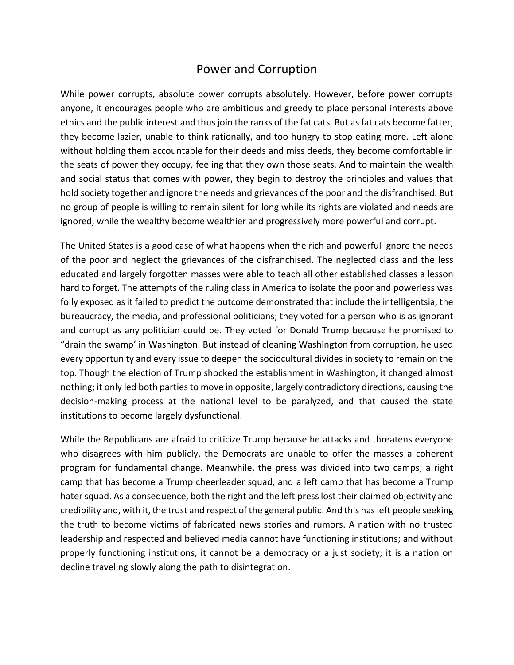## Power and Corruption

While power corrupts, absolute power corrupts absolutely. However, before power corrupts anyone, it encourages people who are ambitious and greedy to place personal interests above ethics and the public interest and thus join the ranks of the fat cats. But as fat cats become fatter, they become lazier, unable to think rationally, and too hungry to stop eating more. Left alone without holding them accountable for their deeds and miss deeds, they become comfortable in the seats of power they occupy, feeling that they own those seats. And to maintain the wealth and social status that comes with power, they begin to destroy the principles and values that hold society together and ignore the needs and grievances of the poor and the disfranchised. But no group of people is willing to remain silent for long while its rights are violated and needs are ignored, while the wealthy become wealthier and progressively more powerful and corrupt.

The United States is a good case of what happens when the rich and powerful ignore the needs of the poor and neglect the grievances of the disfranchised. The neglected class and the less educated and largely forgotten masses were able to teach all other established classes a lesson hard to forget. The attempts of the ruling class in America to isolate the poor and powerless was folly exposed as it failed to predict the outcome demonstrated that include the intelligentsia, the bureaucracy, the media, and professional politicians; they voted for a person who is as ignorant and corrupt as any politician could be. They voted for Donald Trump because he promised to "drain the swamp' in Washington. But instead of cleaning Washington from corruption, he used every opportunity and every issue to deepen the sociocultural divides in society to remain on the top. Though the election of Trump shocked the establishment in Washington, it changed almost nothing; it only led both parties to move in opposite, largely contradictory directions, causing the decision-making process at the national level to be paralyzed, and that caused the state institutions to become largely dysfunctional.

While the Republicans are afraid to criticize Trump because he attacks and threatens everyone who disagrees with him publicly, the Democrats are unable to offer the masses a coherent program for fundamental change. Meanwhile, the press was divided into two camps; a right camp that has become a Trump cheerleader squad, and a left camp that has become a Trump hater squad. As a consequence, both the right and the left press lost their claimed objectivity and credibility and, with it, the trust and respect of the general public. And this has left people seeking the truth to become victims of fabricated news stories and rumors. A nation with no trusted leadership and respected and believed media cannot have functioning institutions; and without properly functioning institutions, it cannot be a democracy or a just society; it is a nation on decline traveling slowly along the path to disintegration.